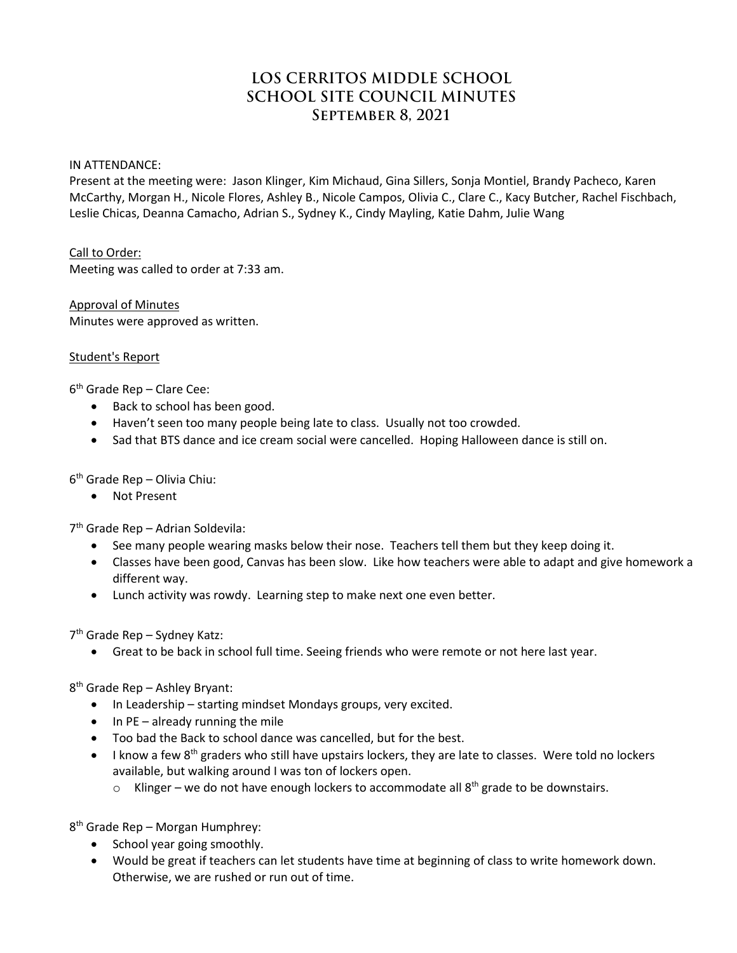# **LOS CERRITOS MIDDLE SCHOOL SCHOOL SITE COUNCIL MINUTES September 8, 2021**

#### IN ATTENDANCE:

Present at the meeting were: Jason Klinger, Kim Michaud, Gina Sillers, Sonja Montiel, Brandy Pacheco, Karen McCarthy, Morgan H., Nicole Flores, Ashley B., Nicole Campos, Olivia C., Clare C., Kacy Butcher, Rachel Fischbach, Leslie Chicas, Deanna Camacho, Adrian S., Sydney K., Cindy Mayling, Katie Dahm, Julie Wang

# Call to Order:

Meeting was called to order at 7:33 am.

# Approval of Minutes Minutes were approved as written.

# Student's Report

6th Grade Rep – Clare Cee:

- Back to school has been good.
- Haven't seen too many people being late to class. Usually not too crowded.
- Sad that BTS dance and ice cream social were cancelled. Hoping Halloween dance is still on.

6th Grade Rep – Olivia Chiu:

• Not Present

7th Grade Rep – Adrian Soldevila:

- See many people wearing masks below their nose. Teachers tell them but they keep doing it.
- Classes have been good, Canvas has been slow. Like how teachers were able to adapt and give homework a different way.
- Lunch activity was rowdy. Learning step to make next one even better.

7th Grade Rep – Sydney Katz:

• Great to be back in school full time. Seeing friends who were remote or not here last year.

8th Grade Rep – Ashley Bryant:

- In Leadership starting mindset Mondays groups, very excited.
- In PE already running the mile
- Too bad the Back to school dance was cancelled, but for the best.
- I know a few 8<sup>th</sup> graders who still have upstairs lockers, they are late to classes. Were told no lockers available, but walking around I was ton of lockers open.
	- $\circ$  Klinger we do not have enough lockers to accommodate all  $8<sup>th</sup>$  grade to be downstairs.

8th Grade Rep – Morgan Humphrey:

- School year going smoothly.
- Would be great if teachers can let students have time at beginning of class to write homework down. Otherwise, we are rushed or run out of time.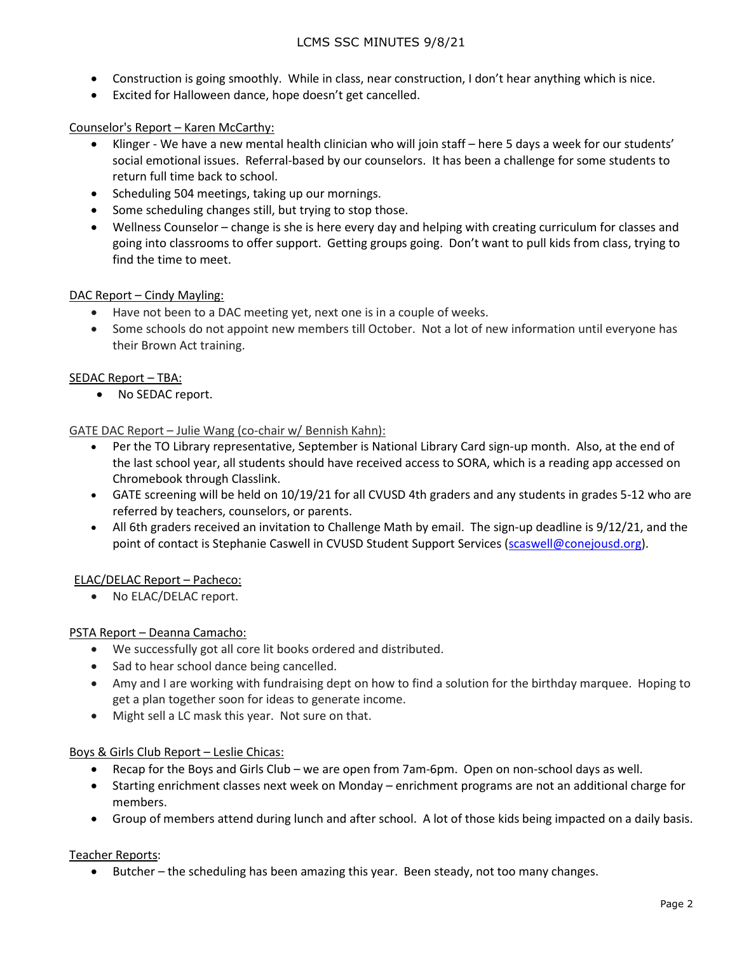- Construction is going smoothly. While in class, near construction, I don't hear anything which is nice.
- Excited for Halloween dance, hope doesn't get cancelled.

### Counselor's Report – Karen McCarthy:

- Klinger We have a new mental health clinician who will join staff here 5 days a week for our students' social emotional issues. Referral-based by our counselors. It has been a challenge for some students to return full time back to school.
- Scheduling 504 meetings, taking up our mornings.
- Some scheduling changes still, but trying to stop those.
- Wellness Counselor change is she is here every day and helping with creating curriculum for classes and going into classrooms to offer support. Getting groups going. Don't want to pull kids from class, trying to find the time to meet.

### DAC Report – Cindy Mayling:

- Have not been to a DAC meeting yet, next one is in a couple of weeks.
- Some schools do not appoint new members till October. Not a lot of new information until everyone has their Brown Act training.

### SEDAC Report – TBA:

• No SEDAC report.

GATE DAC Report – Julie Wang (co-chair w/ Bennish Kahn):

- Per the TO Library representative, September is National Library Card sign-up month. Also, at the end of the last school year, all students should have received access to SORA, which is a reading app accessed on Chromebook through Classlink.
- GATE screening will be held on 10/19/21 for all CVUSD 4th graders and any students in grades 5-12 who are referred by teachers, counselors, or parents.
- All 6th graders received an invitation to Challenge Math by email. The sign-up deadline is 9/12/21, and the point of contact is Stephanie Caswell in CVUSD Student Support Services [\(scaswell@conejousd.org\)](mailto:scaswell@conejousd.org).

# ELAC/DELAC Report – Pacheco:

• No ELAC/DELAC report.

### PSTA Report – Deanna Camacho:

- We successfully got all core lit books ordered and distributed.
- Sad to hear school dance being cancelled.
- Amy and I are working with fundraising dept on how to find a solution for the birthday marquee. Hoping to get a plan together soon for ideas to generate income.
- Might sell a LC mask this year. Not sure on that.

### Boys & Girls Club Report – Leslie Chicas:

- Recap for the Boys and Girls Club we are open from 7am-6pm. Open on non-school days as well.
- Starting enrichment classes next week on Monday enrichment programs are not an additional charge for members.
- Group of members attend during lunch and after school. A lot of those kids being impacted on a daily basis.

### Teacher Reports:

• Butcher – the scheduling has been amazing this year. Been steady, not too many changes.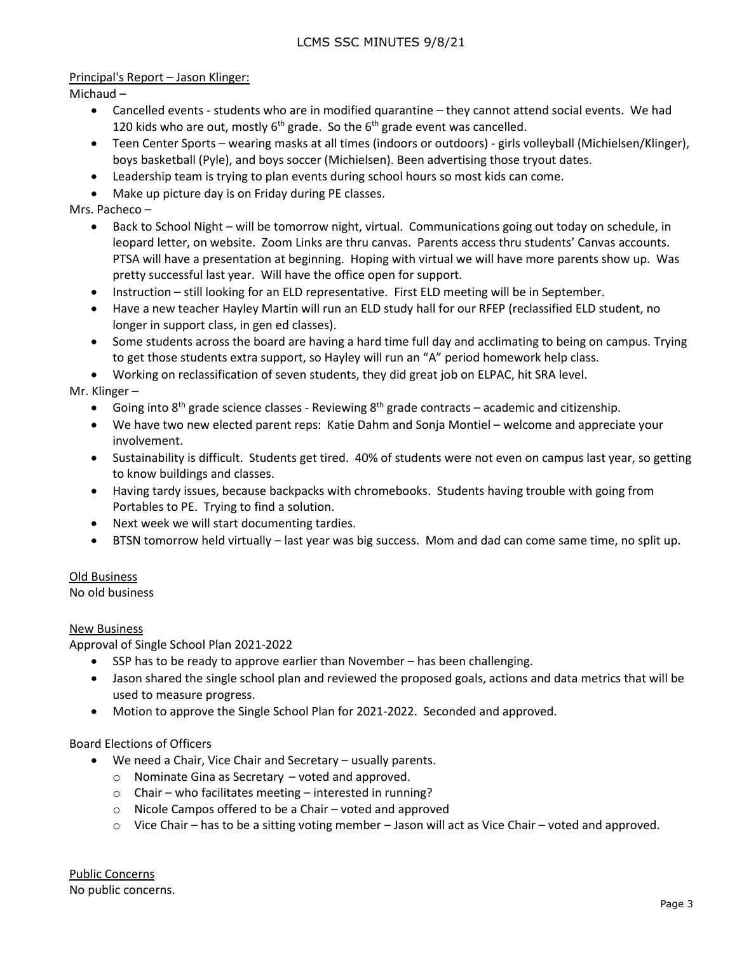Principal's Report – Jason Klinger:

Michaud –

- Cancelled events students who are in modified quarantine they cannot attend social events. We had 120 kids who are out, mostly  $6<sup>th</sup>$  grade. So the  $6<sup>th</sup>$  grade event was cancelled.
- Teen Center Sports wearing masks at all times (indoors or outdoors) girls volleyball (Michielsen/Klinger), boys basketball (Pyle), and boys soccer (Michielsen). Been advertising those tryout dates.
- Leadership team is trying to plan events during school hours so most kids can come.
- Make up picture day is on Friday during PE classes.

Mrs. Pacheco –

- Back to School Night will be tomorrow night, virtual. Communications going out today on schedule, in leopard letter, on website. Zoom Links are thru canvas. Parents access thru students' Canvas accounts. PTSA will have a presentation at beginning. Hoping with virtual we will have more parents show up. Was pretty successful last year. Will have the office open for support.
- Instruction still looking for an ELD representative. First ELD meeting will be in September.
- Have a new teacher Hayley Martin will run an ELD study hall for our RFEP (reclassified ELD student, no longer in support class, in gen ed classes).
- Some students across the board are having a hard time full day and acclimating to being on campus. Trying to get those students extra support, so Hayley will run an "A" period homework help class.

• Working on reclassification of seven students, they did great job on ELPAC, hit SRA level.

Mr. Klinger –

- Going into  $8<sup>th</sup>$  grade science classes Reviewing  $8<sup>th</sup>$  grade contracts academic and citizenship.
- We have two new elected parent reps: Katie Dahm and Sonja Montiel welcome and appreciate your involvement.
- Sustainability is difficult. Students get tired. 40% of students were not even on campus last year, so getting to know buildings and classes.
- Having tardy issues, because backpacks with chromebooks. Students having trouble with going from Portables to PE. Trying to find a solution.
- Next week we will start documenting tardies.
- BTSN tomorrow held virtually last year was big success. Mom and dad can come same time, no split up.

Old Business

No old business

### New Business

Approval of Single School Plan 2021-2022

- SSP has to be ready to approve earlier than November has been challenging.
- Jason shared the single school plan and reviewed the proposed goals, actions and data metrics that will be used to measure progress.
- Motion to approve the Single School Plan for 2021-2022. Seconded and approved.

### Board Elections of Officers

- We need a Chair, Vice Chair and Secretary usually parents.
	- o Nominate Gina as Secretary voted and approved.
	- o Chair who facilitates meeting interested in running?
	- o Nicole Campos offered to be a Chair voted and approved
	- $\circ$  Vice Chair has to be a sitting voting member Jason will act as Vice Chair voted and approved.

Public Concerns No public concerns.